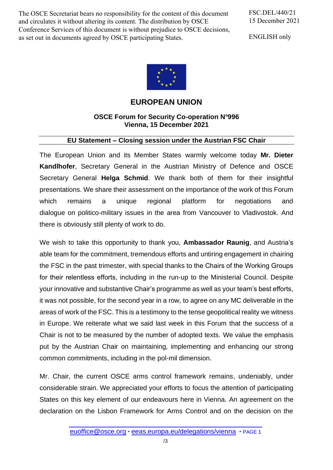The OSCE Secretariat bears no responsibility for the content of this document and circulates it without altering its content. The distribution by OSCE Conference Services of this document is without prejudice to OSCE decisions, as set out in documents agreed by OSCE participating States.

FSC.DEL/440/21 15 December 2021

ENGLISH only



**EUROPEAN UNION**

## **OSCE Forum for Security Co-operation N°996 Vienna, 15 December 2021**

## **EU Statement – Closing session under the Austrian FSC Chair**

The European Union and its Member States warmly welcome today **Mr. Dieter Kandlhofer**, Secretary General in the Austrian Ministry of Defence and OSCE Secretary General **Helga Schmid**. We thank both of them for their insightful presentations. We share their assessment on the importance of the work of this Forum which remains a unique regional platform for negotiations and dialogue on politico-military issues in the area from Vancouver to Vladivostok. And there is obviously still plenty of work to do.

We wish to take this opportunity to thank you, **Ambassador Raunig**, and Austria's able team for the commitment, tremendous efforts and untiring engagement in chairing the FSC in the past trimester, with special thanks to the Chairs of the Working Groups for their relentless efforts, including in the run-up to the Ministerial Council. Despite your innovative and substantive Chair's programme as well as your team's best efforts, it was not possible, for the second year in a row, to agree on any MC deliverable in the areas of work of the FSC. This is a testimony to the tense geopolitical reality we witness in Europe. We reiterate what we said last week in this Forum that the success of a Chair is not to be measured by the number of adopted texts. We value the emphasis put by the Austrian Chair on maintaining, implementing and enhancing our strong common commitments, including in the pol-mil dimension.

Mr. Chair, the current OSCE arms control framework remains, undeniably, under considerable strain. We appreciated your efforts to focus the attention of participating States on this key element of our endeavours here in Vienna. An agreement on the declaration on the Lisbon Framework for Arms Control and on the decision on the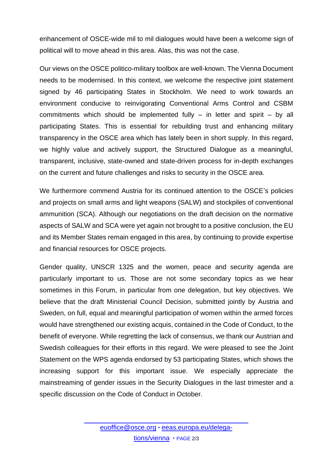enhancement of OSCE-wide mil to mil dialogues would have been a welcome sign of political will to move ahead in this area. Alas, this was not the case.

Our views on the OSCE politico-military toolbox are well-known. The Vienna Document needs to be modernised. In this context, we welcome the respective joint statement signed by 46 participating States in Stockholm. We need to work towards an environment conducive to reinvigorating Conventional Arms Control and CSBM commitments which should be implemented fully – in letter and spirit – by all participating States. This is essential for rebuilding trust and enhancing military transparency in the OSCE area which has lately been in short supply. In this regard, we highly value and actively support, the Structured Dialogue as a meaningful, transparent, inclusive, state-owned and state-driven process for in-depth exchanges on the current and future challenges and risks to security in the OSCE area.

We furthermore commend Austria for its continued attention to the OSCE's policies and projects on small arms and light weapons (SALW) and stockpiles of conventional ammunition (SCA). Although our negotiations on the draft decision on the normative aspects of SALW and SCA were yet again not brought to a positive conclusion, the EU and its Member States remain engaged in this area, by continuing to provide expertise and financial resources for OSCE projects.

Gender quality, UNSCR 1325 and the women, peace and security agenda are particularly important to us. Those are not some secondary topics as we hear sometimes in this Forum, in particular from one delegation, but key objectives. We believe that the draft Ministerial Council Decision, submitted jointly by Austria and Sweden, on full, equal and meaningful participation of women within the armed forces would have strengthened our existing acquis, contained in the Code of Conduct, to the benefit of everyone. While regretting the lack of consensus, we thank our Austrian and Swedish colleagues for their efforts in this regard. We were pleased to see the Joint Statement on the WPS agenda endorsed by 53 participating States, which shows the increasing support for this important issue. We especially appreciate the mainstreaming of gender issues in the Security Dialogues in the last trimester and a specific discussion on the Code of Conduct in October.